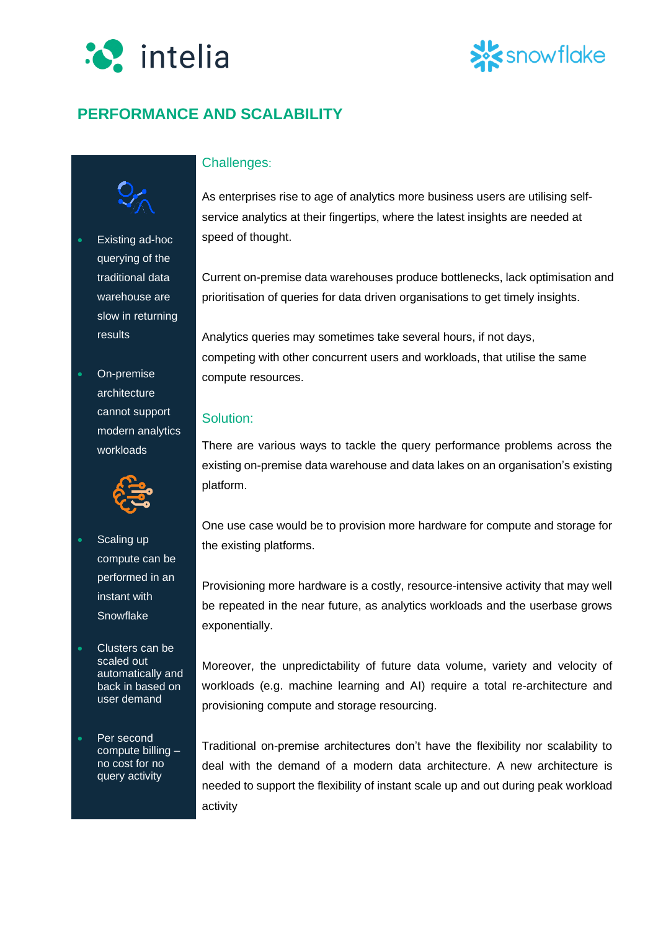

# showflake

## **PERFORMANCE AND SCALABILITY**



querying of the traditional data warehouse are slow in returning results

• On-premise architecture cannot support modern analytics workloads



- Scaling up compute can be performed in an instant with **Snowflake**
- Clusters can be scaled out automatically and back in based on user demand

Per second compute billing – no cost for no query activity

### Challenges:

As enterprises rise to age of analytics more business users are utilising selfservice analytics at their fingertips, where the latest insights are needed at speed of thought.

Current on-premise data warehouses produce bottlenecks, lack optimisation and prioritisation of queries for data driven organisations to get timely insights.

Analytics queries may sometimes take several hours, if not days, competing with other concurrent users and workloads, that utilise the same compute resources.

#### Solution:

There are various ways to tackle the query performance problems across the existing on-premise data warehouse and data lakes on an organisation's existing platform.

One use case would be to provision more hardware for compute and storage for the existing platforms.

Provisioning more hardware is a costly, resource-intensive activity that may well be repeated in the near future, as analytics workloads and the userbase grows exponentially.

Moreover, the unpredictability of future data volume, variety and velocity of workloads (e.g. machine learning and AI) require a total re-architecture and provisioning compute and storage resourcing.

Traditional on-premise architectures don't have the flexibility nor scalability to deal with the demand of a modern data architecture. A new architecture is needed to support the flexibility of instant scale up and out during peak workload activity